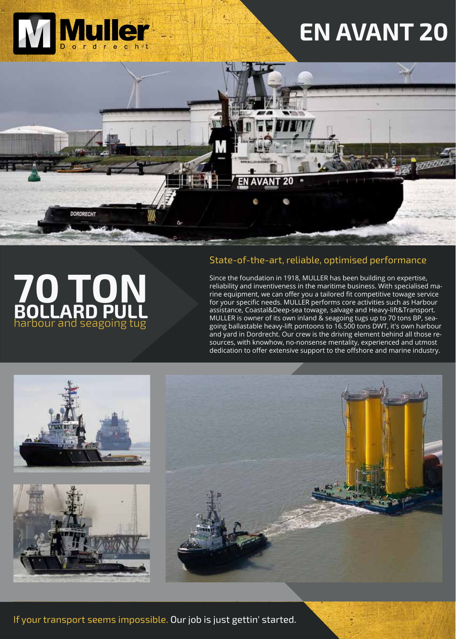

# **EN AVANT 20**



### State-of-the-art, reliable, optimised performance

EN AVANT 20

Since the foundation in 1918, MULLER has been building on expertise, reliability and inventiveness in the maritime business. With specialised marine equipment, we can offer you a tailored fit competitive towage service for your specific needs. MULLER performs core activities such as Harbour assistance, Coastal&Deep-sea towage, salvage and Heavy-lift&Transport. MULLER is owner of its own inland & seagoing tugs up to 70 tons BP, seagoing ballastable heavy-lift pontoons to 16.500 tons DWT, it's own harbour and yard in Dordrecht. Our crew is the driving element behind all those resources, with knowhow, no-nonsense mentality, experienced and utmost dedication to offer extensive support to the offshore and marine industry.



harbour and seagoing tug

**BOLLARD PULL**





If your transport seems impossible. Our job is just gettin' started.